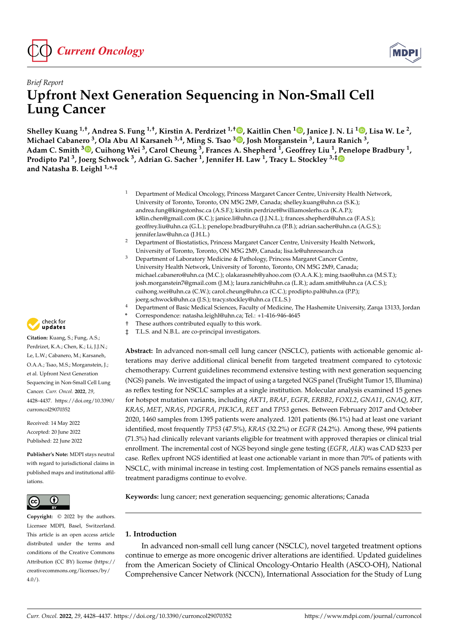

# *Brief Report* **Upfront Next Generation Sequencing in Non-Small Cell Lung Cancer**

Shelley Kuang <sup>1[,](https://orcid.org/0000-0002-5700-2889)†</sup>, Andrea S. Fung <sup>1,†</sup>, Kirstin A. Perdrizet <sup>1,†</sup>®, Kaitlin Chen <sup>1</sup>®, Janice J. N. Li <sup>1</sup>®, Lisa W. Le <sup>2</sup>, **Michael Cabanero <sup>3</sup> , Ola Abu Al Karsaneh 3,4, Ming S. Tsao <sup>3</sup> [,](https://orcid.org/0000-0002-9160-5405) Josh Morganstein <sup>3</sup> , Laura Ranich <sup>3</sup> ,** Adam C. Smith <sup>3</sup>. Cuihong Wei <sup>3</sup>[,](https://orcid.org/0000-0001-9927-4914) Carol Cheung <sup>3</sup>, Frances A. Shepherd <sup>1</sup>, Geoffrey Liu <sup>1</sup>, [Pe](https://orcid.org/0000-0002-4476-9722)nelope Bradbury <sup>1</sup>, **Prodipto Pal <sup>3</sup> , Joerg Schwock <sup>3</sup> , Adrian G. Sacher <sup>1</sup> , Jennifer H. Law <sup>1</sup> , Tracy L. Stockley 3,‡ and Natasha B. Leighl 1,\* ,‡**

- <sup>1</sup> Department of Medical Oncology, Princess Margaret Cancer Centre, University Health Network, University of Toronto, Toronto, ON M5G 2M9, Canada; shelley.kuang@uhn.ca (S.K.); andrea.fung@kingstonhsc.ca (A.S.F.); kirstin.perdrizet@williamoslerhs.ca (K.A.P.); k8lin.chen@gmail.com (K.C.); janice.li@uhn.ca (J.J.N.L.); frances.shepherd@uhn.ca (F.A.S.); geoffrey.liu@uhn.ca (G.L.); penelope.bradbury@uhn.ca (P.B.); adrian.sacher@uhn.ca (A.G.S.); jennifer.law@uhn.ca (J.H.L.)
- <sup>2</sup> Department of Biostatistics, Princess Margaret Cancer Centre, University Health Network, University of Toronto, Toronto, ON M5G 2M9, Canada; lisa.le@uhnresearch.ca
- Department of Laboratory Medicine & Pathology, Princess Margaret Cancer Centre, University Health Network, University of Toronto, Toronto, ON M5G 2M9, Canada; michael.cabanero@uhn.ca (M.C.); olakarasneh@yahoo.com (O.A.A.K.); ming.tsao@uhn.ca (M.S.T.); josh.morganstein7@gmail.com (J.M.); laura.ranich@uhn.ca (L.R.); adam.smith@uhn.ca (A.C.S.); cuihong.wei@uhn.ca (C.W.); carol.cheung@uhn.ca (C.C.); prodipto.pal@uhn.ca (P.P.); joerg.schwock@uhn.ca (J.S.); tracy.stockley@uhn.ca (T.L.S.)
- <sup>4</sup> Department of Basic Medical Sciences, Faculty of Medicine, The Hashemite University, Zarqa 13133, Jordan
- **\*** Correspondence: natasha.leighl@uhn.ca; Tel.: +1-416-946-4645
- † These authors contributed equally to this work.
- ‡ T.L.S. and N.B.L. are co-principal investigators.

**Abstract:** In advanced non-small cell lung cancer (NSCLC), patients with actionable genomic alterations may derive additional clinical benefit from targeted treatment compared to cytotoxic chemotherapy. Current guidelines recommend extensive testing with next generation sequencing (NGS) panels. We investigated the impact of using a targeted NGS panel (TruSight Tumor 15, Illumina) as reflex testing for NSCLC samples at a single institution. Molecular analysis examined 15 genes for hotspot mutation variants, including *AKT1*, *BRAF*, *EGFR*, *ERBB2*, *FOXL2*, *GNA11*, *GNAQ*, *KIT*, *KRAS*, *MET*, *NRAS*, *PDGFRA*, *PIK3CA*, *RET* and *TP53* genes. Between February 2017 and October 2020, 1460 samples from 1395 patients were analyzed. 1201 patients (86.1%) had at least one variant identified, most frequently *TP53* (47.5%), *KRAS* (32.2%) or *EGFR* (24.2%). Among these, 994 patients (71.3%) had clinically relevant variants eligible for treatment with approved therapies or clinical trial enrollment. The incremental cost of NGS beyond single gene testing (*EGFR*, *ALK*) was CAD \$233 per case. Reflex upfront NGS identified at least one actionable variant in more than 70% of patients with NSCLC, with minimal increase in testing cost. Implementation of NGS panels remains essential as treatment paradigms continue to evolve.

**Keywords:** lung cancer; next generation sequencing; genomic alterations; Canada

## **1. Introduction**

In advanced non-small cell lung cancer (NSCLC), novel targeted treatment options continue to emerge as more oncogenic driver alterations are identified. Updated guidelines from the American Society of Clinical Oncology-Ontario Health (ASCO-OH), National Comprehensive Cancer Network (NCCN), International Association for the Study of Lung



**Citation:** Kuang, S.; Fung, A.S.; Perdrizet, K.A.; Chen, K.; Li, J.J.N.; Le, L.W.; Cabanero, M.; Karsaneh, O.A.A.; Tsao, M.S.; Morganstein, J.; et al. Upfront Next Generation Sequencing in Non-Small Cell Lung Cancer. *Curr. Oncol.* **2022**, *29*, 4428–4437. [https://doi.org/10.3390/](https://doi.org/10.3390/curroncol29070352) [curroncol29070352](https://doi.org/10.3390/curroncol29070352)

Received: 14 May 2022 Accepted: 20 June 2022 Published: 22 June 2022

**Publisher's Note:** MDPI stays neutral with regard to jurisdictional claims in published maps and institutional affiliations.



**Copyright:** © 2022 by the authors. Licensee MDPI, Basel, Switzerland. This article is an open access article distributed under the terms and conditions of the Creative Commons Attribution (CC BY) license [\(https://](https://creativecommons.org/licenses/by/4.0/) [creativecommons.org/licenses/by/](https://creativecommons.org/licenses/by/4.0/)  $4.0/$ ).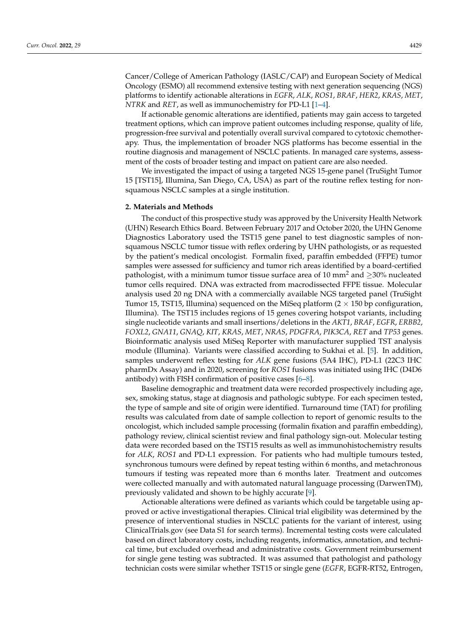Cancer/College of American Pathology (IASLC/CAP) and European Society of Medical Oncology (ESMO) all recommend extensive testing with next generation sequencing (NGS) platforms to identify actionable alterations in *EGFR*, *ALK*, *ROS1*, *BRAF*, *HER2*, *KRAS*, *MET*, *NTRK* and *RET*, as well as immunochemistry for PD-L1 [\[1](#page-8-0)[–4\]](#page-8-1).

If actionable genomic alterations are identified, patients may gain access to targeted treatment options, which can improve patient outcomes including response, quality of life, progression-free survival and potentially overall survival compared to cytotoxic chemotherapy. Thus, the implementation of broader NGS platforms has become essential in the routine diagnosis and management of NSCLC patients. In managed care systems, assessment of the costs of broader testing and impact on patient care are also needed.

We investigated the impact of using a targeted NGS 15-gene panel (TruSight Tumor 15 [TST15], Illumina, San Diego, CA, USA) as part of the routine reflex testing for nonsquamous NSCLC samples at a single institution.

#### **2. Materials and Methods**

The conduct of this prospective study was approved by the University Health Network (UHN) Research Ethics Board. Between February 2017 and October 2020, the UHN Genome Diagnostics Laboratory used the TST15 gene panel to test diagnostic samples of nonsquamous NSCLC tumor tissue with reflex ordering by UHN pathologists, or as requested by the patient's medical oncologist. Formalin fixed, paraffin embedded (FFPE) tumor samples were assessed for sufficiency and tumor rich areas identified by a board-certified pathologist, with a minimum tumor tissue surface area of 10 mm<sup>2</sup> and  $\geq$ 30% nucleated tumor cells required. DNA was extracted from macrodissected FFPE tissue. Molecular analysis used 20 ng DNA with a commercially available NGS targeted panel (TruSight Tumor 15, TST15, Illumina) sequenced on the MiSeq platform  $(2 \times 150)$  bp configuration, Illumina). The TST15 includes regions of 15 genes covering hotspot variants, including single nucleotide variants and small insertions/deletions in the *AKT1*, *BRAF*, *EGFR*, *ERBB2*, *FOXL2*, *GNA11*, *GNAQ*, *KIT*, *KRAS*, *MET*, *NRAS*, *PDGFRA*, *PIK3CA*, *RET* and *TP53* genes. Bioinformatic analysis used MiSeq Reporter with manufacturer supplied TST analysis module (Illumina). Variants were classified according to Sukhai et al. [\[5\]](#page-8-2). In addition, samples underwent reflex testing for *ALK* gene fusions (5A4 IHC), PD-L1 (22C3 IHC pharmDx Assay) and in 2020, screening for *ROS1* fusions was initiated using IHC (D4D6 antibody) with FISH confirmation of positive cases [\[6–](#page-8-3)[8\]](#page-8-4).

Baseline demographic and treatment data were recorded prospectively including age, sex, smoking status, stage at diagnosis and pathologic subtype. For each specimen tested, the type of sample and site of origin were identified. Turnaround time (TAT) for profiling results was calculated from date of sample collection to report of genomic results to the oncologist, which included sample processing (formalin fixation and paraffin embedding), pathology review, clinical scientist review and final pathology sign-out. Molecular testing data were recorded based on the TST15 results as well as immunohistochemistry results for *ALK*, *ROS1* and PD-L1 expression. For patients who had multiple tumours tested, synchronous tumours were defined by repeat testing within 6 months, and metachronous tumours if testing was repeated more than 6 months later. Treatment and outcomes were collected manually and with automated natural language processing (DarwenTM), previously validated and shown to be highly accurate [\[9\]](#page-8-5).

Actionable alterations were defined as variants which could be targetable using approved or active investigational therapies. Clinical trial eligibility was determined by the presence of interventional studies in NSCLC patients for the variant of interest, using ClinicalTrials.gov (see Data S1 for search terms). Incremental testing costs were calculated based on direct laboratory costs, including reagents, informatics, annotation, and technical time, but excluded overhead and administrative costs. Government reimbursement for single gene testing was subtracted. It was assumed that pathologist and pathology technician costs were similar whether TST15 or single gene (*EGFR*, EGFR-RT52, Entrogen,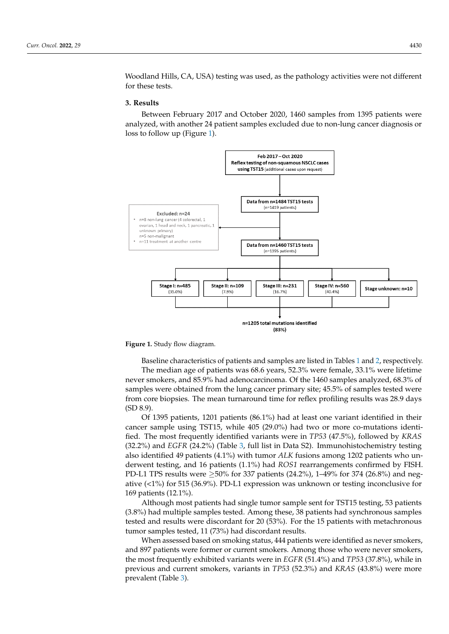Woodland Hills, CA, USA) testing was used, as the pathology activities were not different for these tests. were not different for the tests.

#### **3. Results**

Between February 2017 and October 2020, 1460 samples from 1395 patients were Between February 2017 and October 2020, 1460 samples from 1395 patients were analyzed, with another 24 patient samples excluded due to non-lung cancer diagnosis or analyzed, with another 24 patient samples excluded due to non-lung cancer diagnosis or loss to follow up (Figure 1). loss to fol[lo](#page-2-0)w up (Figure 1).

<span id="page-2-0"></span>

**Figure 1.** Study flow diagram. **Figure 1.** Study flow diagram.

Baseline characteristics of patients and sampl[es](#page-3-0) are listed in Tables 1 and 2, Baseline characteristics of patients and samples are listed in Tables 1 and [2,](#page-3-1) respectively. The median age of patients was 68.6 years, 52.3% were female, 33.1% were lifetime samples were obtained from the lung cancer primary site; 45.5% of samples tested were **Number (%)**  never smokers, and 85.9% had adenocarcinoma. Of the 1460 samples analyzed, 68.3% of from core biopsies. The mean turnaround time for reflex profiling results was 28.9 days (SD 8.9).

Of 1395 patients, 1201 patients (86.1%) had at least one variant identified in their cancer sample using TST15, while 405 (29.0%) had two or more co-mutations identi-**Sex**  fied. The most frequently identified variants were in *TP53* (47.5%), followed by *KRAS* (32.2%) and *EGFR* (24.2%) (Table [3,](#page-4-0) full list in Data S2). Immunohistochemistry testing also identified 49 patients (4.1%) with tumor *ALK* fusions among 1202 patients who underwent testing, and 16 patients (1.1%) had *ROS1* rearrangements confirmed by FISH.<br>PD 14 TPC 11 TPC 11 1200 ft 227 til 1 (24.2%) 1, 40% ft 274 (26.2%)  $\frac{1}{4}$  (34.0%) DD I american via interesting or to the second value of  $\frac{1}{2}$ ative (<1%) for 515 (36.9%). PD-L1 expression was unknown or testing inconclusive for<br>169 patients (12.1%) PD-L1 TPS results were  $\geq$ 50% for 337 patients (24.2%), 1–49% for 374 (26.8%) and neg-169 patients (12.1%).

Although most patients had single tumor sample sent for TST15 testing, 53 patients (3.8%) had multiple samples tested. Among these, 38 patients had synchronous samples tested and results were discordant for 20 (53%). For the 15 patients with metachronous tumor samples tested, 11 (73%) had discordant results.

When assessed based on smoking status, 444 patients were identified as never smokers, and 897 patients were former or current smokers. Among those who were never smokers, the most frequently exhibited variants were in *EGFR* (51.4%) and *TP53* (37.8%), while in previous and current smokers, variants in *TP53* (52.3%) and *KRAS* (43.8%) were more **Histology**  prevalent (Table [3\)](#page-4-0).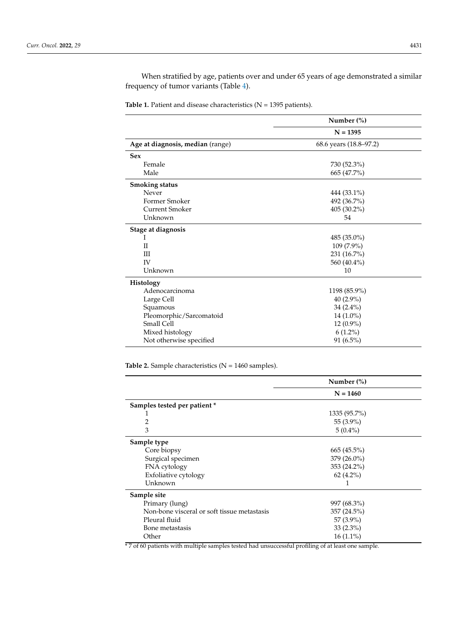When stratified by age, patients over and under 65 years of age demonstrated a similar frequency of tumor variants (Table [4\)](#page-4-1).

<span id="page-3-0"></span>**Table 1.** Patient and disease characteristics ( $N = 1395$  patients).

|                                  | Number $(\%)$<br>$N = 1395$<br>68.6 years (18.8–97.2) |  |
|----------------------------------|-------------------------------------------------------|--|
|                                  |                                                       |  |
| Age at diagnosis, median (range) |                                                       |  |
| <b>Sex</b>                       |                                                       |  |
| Female                           | 730 (52.3%)                                           |  |
| Male                             | 665 (47.7%)                                           |  |
| <b>Smoking status</b>            |                                                       |  |
| Never                            | 444 (33.1%)                                           |  |
| Former Smoker                    | 492 (36.7%)                                           |  |
| <b>Current Smoker</b>            | 405 (30.2%)                                           |  |
| Unknown                          | 54                                                    |  |
| Stage at diagnosis               |                                                       |  |
| Ι                                | 485 (35.0%)                                           |  |
| $_{\rm II}$                      | 109 (7.9%)                                            |  |
| Ш                                | 231 (16.7%)                                           |  |
| <b>IV</b>                        | 560 (40.4%)                                           |  |
| Unknown                          | 10                                                    |  |
| <b>Histology</b>                 |                                                       |  |
| Adenocarcinoma                   | 1198 (85.9%)                                          |  |
| Large Cell                       | 40 $(2.9\%)$                                          |  |
| Squamous                         | $34(2.4\%)$                                           |  |
| Pleomorphic/Sarcomatoid          | 14 (1.0%)                                             |  |
| Small Cell                       | 12 (0.9%)                                             |  |
| Mixed histology                  | $6(1.2\%)$                                            |  |
| Not otherwise specified          | 91 (6.5%)                                             |  |

<span id="page-3-1"></span>Table 2. Sample characteristics (N = 1460 samples).

|                                             | Number $(\%)$ |  |
|---------------------------------------------|---------------|--|
|                                             | $N = 1460$    |  |
| Samples tested per patient *                |               |  |
| T                                           | 1335 (95.7%)  |  |
| 2                                           | 55 (3.9%)     |  |
| 3                                           | $5(0.4\%)$    |  |
| Sample type                                 |               |  |
| Core biopsy                                 | $665(45.5\%)$ |  |
| Surgical specimen                           | $379(26.0\%)$ |  |
| FNA cytology                                | 353 (24.2%)   |  |
| Exfoliative cytology                        | $62(4.2\%)$   |  |
| Unknown                                     |               |  |
| Sample site                                 |               |  |
| Primary (lung)                              | 997 (68.3%)   |  |
| Non-bone visceral or soft tissue metastasis | 357 (24.5%)   |  |
| Pleural fluid                               | 57 (3.9%)     |  |
| Bone metastasis                             | $33(2.3\%)$   |  |
| Other                                       | $16(1.1\%)$   |  |

\* 7 of 60 patients with multiple samples tested had unsuccessful profiling of at least one sample.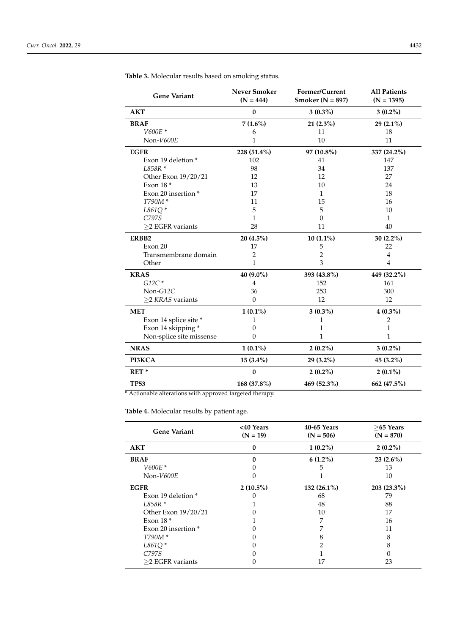| <b>Gene Variant</b>      | <b>Never Smoker</b><br>$(N = 444)$ | Former/Current<br>Smoker ( $N = 897$ ) | <b>All Patients</b><br>$(N = 1395)$ |
|--------------------------|------------------------------------|----------------------------------------|-------------------------------------|
| <b>AKT</b>               | $\bf{0}$                           | $3(0.3\%)$                             | $3(0.2\%)$                          |
| <b>BRAF</b>              | $7(1.6\%)$                         | 21 (2.3%)                              | 29 (2.1%)                           |
| $V600E*$                 | 6                                  | 11                                     | 18                                  |
| Non-V600E                | 1                                  | 10                                     | 11                                  |
| <b>EGFR</b>              | 228 (51.4%)                        | 97 (10.8%)                             | 337 (24.2%)                         |
| Exon 19 deletion *       | 102                                | 41                                     | 147                                 |
| L858R*                   | 98                                 | 34                                     | 137                                 |
| Other Exon 19/20/21      | 12                                 | 12                                     | 27                                  |
| Exon $18*$               | 13                                 | 10                                     | 24                                  |
| Exon 20 insertion *      | 17                                 | $\mathbf{1}$                           | 18                                  |
| T790M*                   | 11                                 | 15                                     | 16                                  |
| L861Q*                   | 5                                  | 5                                      | 10                                  |
| C797S                    | 1                                  | $\Omega$                               | $\mathbf{1}$                        |
| $\geq$ 2 EGFR variants   | 28                                 | 11                                     | 40                                  |
| ERBB <sub>2</sub>        | 20 (4.5%)                          | $10(1.1\%)$                            | 30 (2.2%)                           |
| Exon 20                  | 17                                 | 5                                      | 22                                  |
| Transmembrane domain     | $\overline{2}$                     | $\overline{2}$                         | $\overline{4}$                      |
| Other                    | $\mathbf{1}$                       | 3                                      | 4                                   |
| <b>KRAS</b>              | 40 (9.0%)                          | 393 (43.8%)                            | 449 (32.2%)                         |
| $G12C*$                  | $\overline{4}$                     | 152                                    | 161                                 |
| $Non-G12C$               | 36                                 | 253                                    | 300                                 |
| $\geq$ 2 KRAS variants   | $\mathbf{0}$                       | 12                                     | 12                                  |
| <b>MET</b>               | $1(0.1\%)$                         | $3(0.3\%)$                             | $4(0.3\%)$                          |
| Exon 14 splice site *    | 1                                  | 1                                      | 2                                   |
| Exon 14 skipping*        | 0                                  | 1                                      | 1                                   |
| Non-splice site missense | 0                                  | 1                                      | 1                                   |
| <b>NRAS</b>              | $1(0.1\%)$                         | $2(0.2\%)$                             | $3(0.2\%)$                          |
| PI3KCA                   | $15(3.4\%)$                        | $29(3.2\%)$                            | 45 (3.2%)                           |
| RET <sup>*</sup>         | $\bf{0}$                           | $2(0.2\%)$                             | $2(0.1\%)$                          |
| <b>TP53</b>              | 168 (37.8%)                        | 469 (52.3%)                            | 662 (47.5%)                         |

<span id="page-4-0"></span>**Table 3.** Molecular results based on smoking status.

\* Actionable alterations with approved targeted therapy.

<span id="page-4-1"></span>**Table 4.** Molecular results by patient age.

| <b>Gene Variant</b> | <40 Years<br>$(N = 19)$ | 40-65 Years<br>$(N = 506)$ | $>65$ Years<br>$(N = 870)$ |
|---------------------|-------------------------|----------------------------|----------------------------|
| <b>AKT</b>          | 0                       | $1(0.2\%)$                 | $2(0.2\%)$                 |
| <b>BRAF</b>         | 0                       | $6(1.2\%)$                 | $23(2.6\%)$                |
| $V600E*$            |                         | 5                          | 13                         |
| Non-V600E           |                         |                            | 10                         |
| <b>EGFR</b>         | $2(10.5\%)$             | $132(26.1\%)$              | 203 (23.3%)                |
| Exon 19 deletion *  |                         | 68                         | 79                         |
| L858R *             |                         | 48                         | 88                         |
| Other Exon 19/20/21 |                         | 10                         | 17                         |
| Exon $18*$          |                         | 7                          | 16                         |
| Exon 20 insertion * |                         |                            | 11                         |
| T790M *             |                         |                            | 8                          |
| $L861Q*$            |                         |                            | 8                          |
| C797S               |                         |                            |                            |
| $>$ 2 EGFR variants |                         | 17                         | 23                         |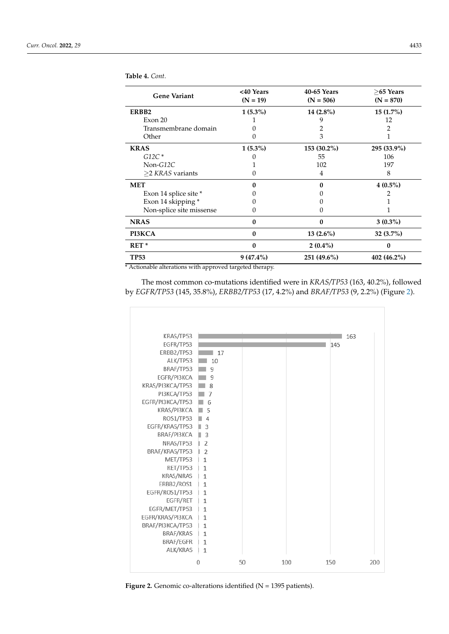| <b>Gene Variant</b>      | <40 Years<br>$(N = 19)$ | 40-65 Years<br>$(N = 506)$ | $>65$ Years<br>$(N = 870)$ |
|--------------------------|-------------------------|----------------------------|----------------------------|
| ERBB2                    | $1(5.3\%)$              | $14(2.8\%)$                | $15(1.7\%)$                |
| Exon 20                  |                         |                            | 12                         |
| Transmembrane domain     |                         |                            |                            |
| Other                    |                         | 3                          |                            |
| <b>KRAS</b>              | $1(5.3\%)$              | 153 (30.2%)                | 295 (33.9%)                |
| $G12C^*$                 |                         | 55                         | 106                        |
| $Non-G12C$               |                         | 102                        | 197                        |
| $\geq$ 2 KRAS variants   |                         | 4                          | 8                          |
| <b>MET</b>               |                         | O                          | $4(0.5\%)$                 |
| Exon 14 splice site *    |                         |                            |                            |
| Exon 14 skipping *       |                         |                            |                            |
| Non-splice site missense |                         |                            |                            |
| <b>NRAS</b>              | $\bf{0}$                | 0                          | $3(0.3\%)$                 |
| PI3KCA                   | $\bf{0}$                | $13(2.6\%)$                | $32(3.7\%)$                |
| $RET*$                   | $\bf{0}$                | $2(0.4\%)$                 | 0                          |
| <b>TP53</b>              | $9(47.4\%)$             | 251 (49.6%)                | $402(46.2\%)$              |

**Table 4.** *Cont.*

L.

\* Actionable alterations with approved targeted therapy.

The most common co-mutations identified were in *KRAS/TP53* (163, 40.2%), followed by *EGFR/TP53* (145, 35.8%), *ERBB2/TP53* (17, 4.2%) and *BRAF/TP53* (9, 2.2%) (Figure [2\)](#page-5-0).

<span id="page-5-0"></span>

**Figure 2.** Genomic co-alterations identified (N = 1395 patients). **Figure 2.** Genomic co-alterations identified (N = 1395 patients).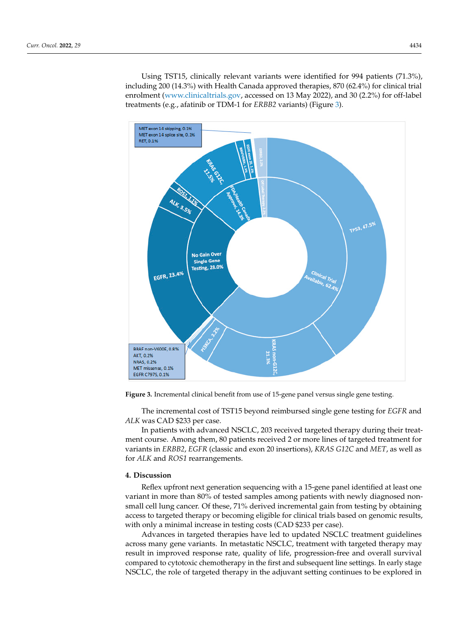Using TST15, clinically relevant variants were identified for 994 patients (71.3%), including 200 (14.3%) with Health Canada approved therapies, 870 (62.4%) for clinical trial enrolment [\(www.clinicaltrials.gov,](www.clinicaltrials.gov) accessed on 13 May 2022), and 30 (2.2%) for off-label treatments (e.g., afatinib or TDM-1 for *ERBB2* variants) (Figure [3\)](#page-6-0).

<span id="page-6-0"></span>

**Figure 3.** Incremental clinical benefit from use of 15-gene panel versus single gene testing. **Figure 3.** Incremental clinical benefit from use of 15-gene panel versus single gene testing.

**4. Discussion**  The incremental cost of TST15 beyond reimbursed single gene testing for *EGFR* and Reflex upfront next generation sequencing with a 15-gene panel identified at least *ALK* was CAD \$233 per case.

In patients with advanced NSCLC, 203 received targeted therapy during their treatment course. Among them, 80 patients received 2 or more lines of targeted treatment for variants in *ERBB2, EGFR* (classic and exon 20 insertions)*, KRAS G12C* and *MET*, as well as for *ALK* and *ROS1* rearrangements.

### across many gene variants. In metastatic NSCLC, treatment with targeted therapy may **4. Discussion**

Reflex upfront next generation sequencing with a 15-gene panel identified at least one variant in more than 80% of tested samples among patients with newly diagnosed nonsmall cell lung cancer. Of these, 71% derived incremental gain from testing by obtaining access to targeted therapy or becoming eligible for clinical trials based on genomic results, with only a minimal increase in testing costs (CAD \$233 per case).

Advances in targeted therapies have led to updated NSCLC treatment guidelines across many gene variants. In metastatic NSCLC, treatment with targeted therapy may result in improved response rate, quality of life, progression-free and overall survival compared to cytotoxic chemotherapy in the first and subsequent line settings. In early stage compared to cytotoxic chemotherapy in the first and subsequent line settings. In early stage rate of  $\overline{S}$  compared to variant detection using TST15 compared to previous methods of sequencing, as  $\overline{S}$ NSCLC, the role of targeted therapy in the adjuvant setting continues to be explored in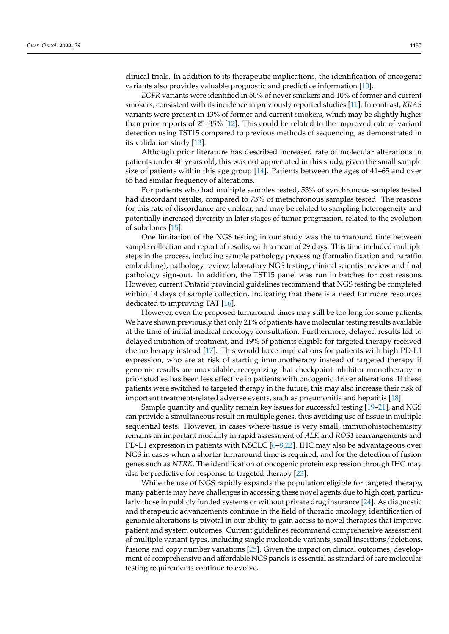clinical trials. In addition to its therapeutic implications, the identification of oncogenic variants also provides valuable prognostic and predictive information [\[10\]](#page-8-6).

*EGFR* variants were identified in 50% of never smokers and 10% of former and current smokers, consistent with its incidence in previously reported studies [\[11\]](#page-8-7). In contrast, *KRAS* variants were present in 43% of former and current smokers, which may be slightly higher than prior reports of 25–35% [\[12\]](#page-9-0). This could be related to the improved rate of variant detection using TST15 compared to previous methods of sequencing, as demonstrated in its validation study [\[13\]](#page-9-1).

Although prior literature has described increased rate of molecular alterations in patients under 40 years old, this was not appreciated in this study, given the small sample size of patients within this age group [\[14\]](#page-9-2). Patients between the ages of 41–65 and over 65 had similar frequency of alterations.

For patients who had multiple samples tested, 53% of synchronous samples tested had discordant results, compared to 73% of metachronous samples tested. The reasons for this rate of discordance are unclear, and may be related to sampling heterogeneity and potentially increased diversity in later stages of tumor progression, related to the evolution of subclones [\[15\]](#page-9-3).

One limitation of the NGS testing in our study was the turnaround time between sample collection and report of results, with a mean of 29 days. This time included multiple steps in the process, including sample pathology processing (formalin fixation and paraffin embedding), pathology review, laboratory NGS testing, clinical scientist review and final pathology sign-out. In addition, the TST15 panel was run in batches for cost reasons. However, current Ontario provincial guidelines recommend that NGS testing be completed within 14 days of sample collection, indicating that there is a need for more resources dedicated to improving TAT [\[16\]](#page-9-4).

However, even the proposed turnaround times may still be too long for some patients. We have shown previously that only 21% of patients have molecular testing results available at the time of initial medical oncology consultation. Furthermore, delayed results led to delayed initiation of treatment, and 19% of patients eligible for targeted therapy received chemotherapy instead [\[17\]](#page-9-5). This would have implications for patients with high PD-L1 expression, who are at risk of starting immunotherapy instead of targeted therapy if genomic results are unavailable, recognizing that checkpoint inhibitor monotherapy in prior studies has been less effective in patients with oncogenic driver alterations. If these patients were switched to targeted therapy in the future, this may also increase their risk of important treatment-related adverse events, such as pneumonitis and hepatitis [\[18\]](#page-9-6).

Sample quantity and quality remain key issues for successful testing [\[19–](#page-9-7)[21\]](#page-9-8), and NGS can provide a simultaneous result on multiple genes, thus avoiding use of tissue in multiple sequential tests. However, in cases where tissue is very small, immunohistochemistry remains an important modality in rapid assessment of *ALK* and *ROS1* rearrangements and PD-L1 expression in patients with NSCLC [\[6–](#page-8-3)[8,](#page-8-4)[22\]](#page-9-9). IHC may also be advantageous over NGS in cases when a shorter turnaround time is required, and for the detection of fusion genes such as *NTRK*. The identification of oncogenic protein expression through IHC may also be predictive for response to targeted therapy [\[23\]](#page-9-10).

While the use of NGS rapidly expands the population eligible for targeted therapy, many patients may have challenges in accessing these novel agents due to high cost, particularly those in publicly funded systems or without private drug insurance [\[24\]](#page-9-11). As diagnostic and therapeutic advancements continue in the field of thoracic oncology, identification of genomic alterations is pivotal in our ability to gain access to novel therapies that improve patient and system outcomes. Current guidelines recommend comprehensive assessment of multiple variant types, including single nucleotide variants, small insertions/deletions, fusions and copy number variations [\[25\]](#page-9-12). Given the impact on clinical outcomes, development of comprehensive and affordable NGS panels is essential as standard of care molecular testing requirements continue to evolve.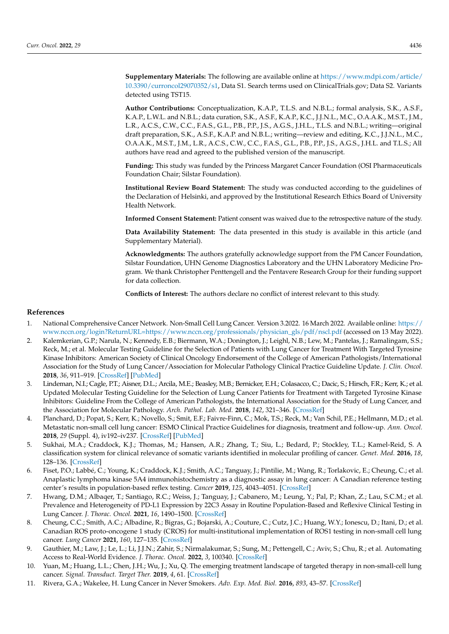**Supplementary Materials:** The following are available online at [https://www.mdpi.com/article/](https://www.mdpi.com/article/10.3390/curroncol29070352/s1) [10.3390/curroncol29070352/s1,](https://www.mdpi.com/article/10.3390/curroncol29070352/s1) Data S1. Search terms used on ClinicalTrials.gov; Data S2. Variants detected using TST15.

**Author Contributions:** Conceptualization, K.A.P., T.L.S. and N.B.L.; formal analysis, S.K., A.S.F., K.A.P., L.W.L. and N.B.L.; data curation, S.K., A.S.F., K.A.P., K.C., J.J.N.L., M.C., O.A.A.K., M.S.T., J.M., L.R., A.C.S., C.W., C.C., F.A.S., G.L., P.B., P.P., J.S., A.G.S., J.H.L., T.L.S. and N.B.L.; writing—original draft preparation, S.K., A.S.F., K.A.P. and N.B.L.; writing—review and editing, K.C., J.J.N.L., M.C., O.A.A.K., M.S.T., J.M., L.R., A.C.S., C.W., C.C., F.A.S., G.L., P.B., P.P., J.S., A.G.S., J.H.L. and T.L.S.; All authors have read and agreed to the published version of the manuscript.

**Funding:** This study was funded by the Princess Margaret Cancer Foundation (OSI Pharmaceuticals Foundation Chair; Silstar Foundation).

**Institutional Review Board Statement:** The study was conducted according to the guidelines of the Declaration of Helsinki, and approved by the Institutional Research Ethics Board of University Health Network.

**Informed Consent Statement:** Patient consent was waived due to the retrospective nature of the study.

**Data Availability Statement:** The data presented in this study is available in this article (and Supplementary Material).

**Acknowledgments:** The authors gratefully acknowledge support from the PM Cancer Foundation, Silstar Foundation, UHN Genome Diagnostics Laboratory and the UHN Laboratory Medicine Program. We thank Christopher Penttengell and the Pentavere Research Group for their funding support for data collection.

**Conflicts of Interest:** The authors declare no conflict of interest relevant to this study.

#### **References**

- <span id="page-8-0"></span>1. National Comprehensive Cancer Network. Non-Small Cell Lung Cancer. Version 3.2022. 16 March 2022. Available online: [https://](https://www.nccn.org/login?ReturnURL=https://www.nccn.org/professionals/physician_gls/pdf/nscl.pdf) [www.nccn.org/login?ReturnURL=https://www.nccn.org/professionals/physician\\_gls/pdf/nscl.pdf](https://www.nccn.org/login?ReturnURL=https://www.nccn.org/professionals/physician_gls/pdf/nscl.pdf) (accessed on 13 May 2022).
- 2. Kalemkerian, G.P.; Narula, N.; Kennedy, E.B.; Biermann, W.A.; Donington, J.; Leighl, N.B.; Lew, M.; Pantelas, J.; Ramalingam, S.S.; Reck, M.; et al. Molecular Testing Guideline for the Selection of Patients with Lung Cancer for Treatment With Targeted Tyrosine Kinase Inhibitors: American Society of Clinical Oncology Endorsement of the College of American Pathologists/International Association for the Study of Lung Cancer/Association for Molecular Pathology Clinical Practice Guideline Update. *J. Clin. Oncol.* **2018**, *36*, 911–919. [\[CrossRef\]](http://doi.org/10.1200/JCO.2017.76.7293) [\[PubMed\]](http://www.ncbi.nlm.nih.gov/pubmed/29401004)
- 3. Lindeman, N.I.; Cagle, P.T.; Aisner, D.L.; Arcila, M.E.; Beasley, M.B.; Bernicker, E.H.; Colasacco, C.; Dacic, S.; Hirsch, F.R.; Kerr, K.; et al. Updated Molecular Testing Guideline for the Selection of Lung Cancer Patients for Treatment with Targeted Tyrosine Kinase Inhibitors: Guideline From the College of American Pathologists, the International Association for the Study of Lung Cancer, and the Association for Molecular Pathology. *Arch. Pathol. Lab. Med.* **2018**, *142*, 321–346. [\[CrossRef\]](http://doi.org/10.5858/arpa.2017-0388-CP)
- <span id="page-8-1"></span>4. Planchard, D.; Popat, S.; Kerr, K.; Novello, S.; Smit, E.F.; Faivre-Finn, C.; Mok, T.S.; Reck, M.; Van Schil, P.E.; Hellmann, M.D.; et al. Metastatic non-small cell lung cancer: ESMO Clinical Practice Guidelines for diagnosis, treatment and follow-up. *Ann. Oncol.* **2018**, *29* (Suppl. 4), iv192–iv237. [\[CrossRef\]](http://doi.org/10.1093/annonc/mdy275) [\[PubMed\]](http://www.ncbi.nlm.nih.gov/pubmed/30285222)
- <span id="page-8-2"></span>5. Sukhai, M.A.; Craddock, K.J.; Thomas, M.; Hansen, A.R.; Zhang, T.; Siu, L.; Bedard, P.; Stockley, T.L.; Kamel-Reid, S. A classification system for clinical relevance of somatic variants identified in molecular profiling of cancer. *Genet. Med.* **2016**, *18*, 128–136. [\[CrossRef\]](http://doi.org/10.1038/gim.2015.47)
- <span id="page-8-3"></span>6. Fiset, P.O.; Labbé, C.; Young, K.; Craddock, K.J.; Smith, A.C.; Tanguay, J.; Pintilie, M.; Wang, R.; Torlakovic, E.; Cheung, C.; et al. Anaplastic lymphoma kinase 5A4 immunohistochemistry as a diagnostic assay in lung cancer: A Canadian reference testing center's results in population-based reflex testing. *Cancer* **2019**, *125*, 4043–4051. [\[CrossRef\]](http://doi.org/10.1002/cncr.32422)
- 7. Hwang, D.M.; Albaqer, T.; Santiago, R.C.; Weiss, J.; Tanguay, J.; Cabanero, M.; Leung, Y.; Pal, P.; Khan, Z.; Lau, S.C.M.; et al. Prevalence and Heterogeneity of PD-L1 Expression by 22C3 Assay in Routine Population-Based and Reflexive Clinical Testing in Lung Cancer. *J. Thorac. Oncol.* **2021**, *16*, 1490–1500. [\[CrossRef\]](http://doi.org/10.1016/j.jtho.2021.03.028)
- <span id="page-8-4"></span>8. Cheung, C.C.; Smith, A.C.; Albadine, R.; Bigras, G.; Bojarski, A.; Couture, C.; Cutz, J.C.; Huang, W.Y.; Ionescu, D.; Itani, D.; et al. Canadian ROS proto-oncogene 1 study (CROS) for multi-institutional implementation of ROS1 testing in non-small cell lung cancer. *Lung Cancer* **2021**, *160*, 127–135. [\[CrossRef\]](http://doi.org/10.1016/j.lungcan.2021.08.003)
- <span id="page-8-5"></span>9. Gauthier, M.; Law, J.; Le, L.; Li, J.J.N.; Zahir, S.; Nirmalakumar, S.; Sung, M.; Pettengell, C.; Aviv, S.; Chu, R.; et al. Automating Access to Real-World Evidence. *J. Thorac. Oncol.* **2022**, *3*, 100340. [\[CrossRef\]](http://doi.org/10.1016/j.jtocrr.2022.100340)
- <span id="page-8-6"></span>10. Yuan, M.; Huang, L.L.; Chen, J.H.; Wu, J.; Xu, Q. The emerging treatment landscape of targeted therapy in non-small-cell lung cancer. *Signal. Transduct. Target Ther.* **2019**, *4*, 61. [\[CrossRef\]](http://doi.org/10.1038/s41392-019-0099-9)
- <span id="page-8-7"></span>11. Rivera, G.A.; Wakelee, H. Lung Cancer in Never Smokers. *Adv. Exp. Med. Biol.* **2016**, *893*, 43–57. [\[CrossRef\]](http://doi.org/10.1007/978-3-319-24223-1_3)